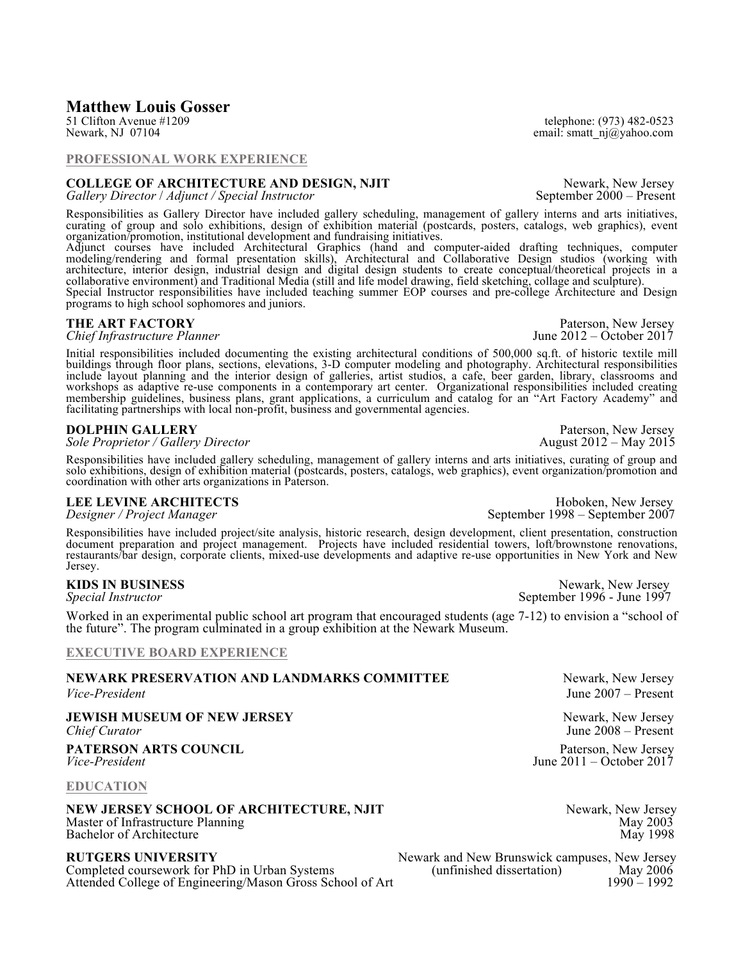# **Matthew Louis Gosser**<br>51 Clifton Avenue #1209

## **PROFESSIONAL WORK EXPERIENCE**

# **COLLEGE OF ARCHITECTURE AND DESIGN, NJIT** Newark, New Jersey<br> *Gallery Director* / *Adjunct* / *Special Instructor* September 2000 – Present

Responsibilities as Gallery Director have included gallery scheduling, management of gallery interns and arts initiatives, curating of group and solo exhibitions, design of exhibition material (postcards, posters, catalogs, web graphics), event organization/promotion, institutional development and fundraising initiatives.

Adjunct courses have included Architectural Graphics (hand and computer-aided drafting techniques, computer modeling/rendering and formal presentation skills), Architectural and Collaborative Design studios (working with architecture, interior design, industrial design and digital design students to create conceptual/theoretical projects in a collaborative environment) and Traditional Media (still and life model drawing, field sketching, collage and sculpture).

Special Instructor responsibilities have included teaching summer EOP courses and pre-college Architecture and Design programs to high school sophomores and juniors.

Initial responsibilities included documenting the existing architectural conditions of 500,000 sq.ft. of historic textile mill buildings through floor plans, sections, elevations, 3-D computer modeling and photography. Architectural responsibilities include layout planning and the interior design of galleries, artist studios, a cafe, beer garden, library, classrooms and workshops as adaptive re-use components in a contemporary art center. Organizational responsibilities included creating membership guidelines, business plans, grant applications, a curriculum and catalog for an "Art Factory Academy" and facilitating partnerships with local non-profit, business and governmental agencies.<br>DOLPHIN GALLERY

**DOLPHIN GALLERY** Paterson, New Jersey<br> *Sole Proprietor / Gallery Director* August 2012 – May 2015

Responsibilities have included gallery scheduling, management of gallery interns and arts initiatives, curating of group and solo exhibitions, design of exhibition material (postcards, posters, catalogs, web graphics), event organization/promotion and coordination with other arts organizations in Paterson.

Responsibilities have included project/site analysis, historic research, design development, client presentation, construction document preparation and project management. Projects have included residential towers, loft/brownstone renovations, restaurants/bar design, corporate clients, mixed-use developments and adaptive re-use opportunities in New York and New Jersey.

Worked in an experimental public school art program that encouraged students (age 7-12) to envision a "school of the future". The program culminated in a group exhibition at the Newark Museum.

### **EXECUTIVE BOARD EXPERIENCE**

## **NEWARK PRESERVATION AND LANDMARKS COMMITTEE** Newark, New Jersey

**JEWISH MUSEUM OF NEW JERSEY** Newark, New Jersey Newark, New Jersey Chief Curator Units Chief Curator *Chief Curator* June 2008 – Present

**PATERSON ARTS COUNCIL** PATERSON PRESSUE PATERS PATERS PATERS PATERS PER EXECUTE PRESSUE PARTS AND REST PARTS PARTS PARTS PARTS PARTS PARTS PARTS PARTS PARTS PARTS PARTS PARTS PARTS PARTS PARTS PARTS PARTS PARTS PARTS PART

### **NEW JERSEY SCHOOL OF ARCHITECTURE, NJIT** Newark, New Jersey Master of Infrastructure Planning May 2003 Bachelor of Architecture May 1998

**RUTGERS UNIVERSITY** Newark and New Brunswick campuses, New Jersey Completed coursework for PhD in Urban Systems (unfinished dissertation) May 2006<br>Attended College of Engineering/Mason Gross School of Art 1990 – 1992 Attended College of Engineering/Mason Gross School of Art

51 Clifton Avenue #1209 telephone: (973) 482-0523<br>Newark, NJ 07104 email: smatt nj@yahoo.com email: smatt\_nj@yahoo.com

**THE ART FACTORY** Paterson, New Jersey<br> *Paterson, New Jersey* Paterson, New Jersey<br> *Paterson, New Jersey* Paterson, New Jersey

**LEE LEVINE ARCHITECTS Hoboken**, New Jersey *Designer / Project Manager*September 1998 – September 2007

**KIDS IN BUSINESS** Newark, New Jersey *Special Instructor* September 1996 - June 1997

*Vice-President* June 2007 – Present

*Vice-President* June 2011 – October 2017 **EDUCATION**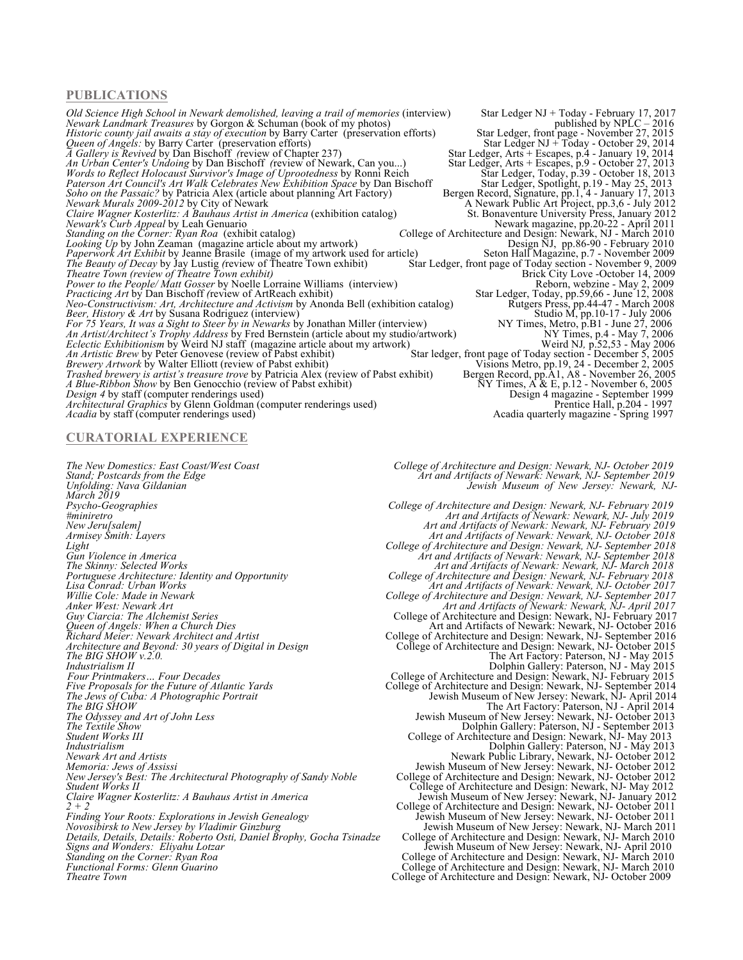### **PUBLICATIONS**

*Old Science High School in Newark demolished, leaving a trail of memories* (interview) Star Ledger NJ + Today - February 17, 2017<br>*Newark Landmark Treasures* by Gorgon & Schuman (book of my photos) star Ledger, front page *Newark Landmark Treasures* by Gorgon & Schuman (book of my photos) *Historic county jail awaits a stay of execution* by Barry Carter (preservation efforts) Star Ledger, front page - November 27, 2015<br>*Queen of Angels:* by Barry Carter (preservation efforts) Star Ledger, Arts + Escapes, p. *Queen of Angels:* by Barry Carter (preservation efforts) Star Ledger NJ + Today - October 29, 2014 *A Gallery is Revived* by Dan Bischoff *(*review of Chapter 237)Star Ledger, Arts + Escapes, p.4 - January 19, 2014 *An Urban Center's Undoing by Dan Bischoff (review of Newark, Can you...)* Star Ledger, Arts + Escapes, p.9 - October 27, 2013<br>*Words to Reflect Holocaust Survivor's Image of Uprootedness* by Ronni Reich Star Ledger, Arts *Words to Reflect Holocaust Survivor's Image of Uprootedness* by Ronni Reich **Star Ledger, Today, p.39 - October 18, 2013** *Paterson Art Council's Art Walk Celebrates New Exhibition Space* by Dan Bischoff Star Ledger, Spotlight, p.19 - May 25, 2013 *Soho on the Passaic?* by Patricia Alex (article about planning Art Factory) Bergen Record, Signature, pp.1, 4 - January 17, 2013 *Newark Murals 2009-2012* by City of Newark A Newark A Newark Public Art Project, pp.3,6 - July 2012 *Claire Wagner Kosterlitz: A Bauhaus Artist in America (exhibition catalog)*<br> *Claire Wagner Kosterlitz: A Bauhaus Artist in America (exhibition catalog)*<br> *Claire Wagner Kosterlitz: A Bauhaus Artist in America (exhibition Newark's Curb Appeal* by Leah Genuario Newark magazine, pp.20-22 - April 2011 *Standing on the Corner: Ryan Roa* (exhibit catalog) *C*ollege of Architecture and Design: Newark, NJ - March 2010 *Looking Up* by John Zeaman (magazine article about my artwork) Design NJ, pp.86-90 - February 2010 *Paperwork Art Exhibit* by Jeanne Brasile (image of my artwork used for article) Seton Hall Magazine, p.7 - November 2009 *The Beauty of Decay* by Jay Lustig *(*review of Theatre Town exhibit)Star Ledger, front page of Today section - November 9, 2009 *Theatre Town (review of Theatre Town exhibit)* Brick City Love -October 14, 2009 *Power to the People/ Matt Gosser* by Noelle Lorraine Williams (interview) Reborn, webzine - May 2, 2009 *Power to the People/Matt Gosser* by Noelle Lorraine Williams (interview) Reborn, webzine - May 2, 2009<br> *Practicing Art by Dan Bischoff (review of ArtReach exhibit)* Star Ledger, Today, pp.59,66 - June 12, 2008<br> *Reo-Cons Neo-Constructivism: Art, Architecture and Activism* by Anonda Bell (exhibition catalog) *Beer, History & Art* by Susana Rodriguez (interview) Studio M, pp.10-17 - July 2006 *For 75 Years, It was a Sight to Steer by in Newarks* by Jonathan Miller (interview) NY Times, Metro, p.B1 - June 27, 2006 *An Artist/Architect's Trophy Address* by Fred Bernstein (article about my studio/artwork) NY Times, p.4 - May 7, 2006 *Eclectic Exhibitionism* by Weird NJ staff (magazine article about my artwork) Weird NJ, p.52,53 - May 2006<br>An Artistic Brew by Peter Genovese (review of Pabst exhibit) Star ledger, front page of Today section - December 5 *Brewery Artwork by Walter Elliott (review of Pabst exhibit) Star ledger, front page of Today section - December 5, 2005*<br>*Brewery Artwork by Walter Elliott (review of Pabst exhibit) Visions Metro, pp.19, 24 - December Trashed brewery is artist's treasure trove by Patricia Alex (review of Pabst exhibit) A Blue-Ribbon Show by Ben Genocchio (review of Pabst exhibit) Design 4 by staff (computer renderings used) Architectural Graphics* by Glenn Goldman (computer renderings used) *Architectural Graphics* by Glenn Goldman (computer renderings used)<br>*Acadia* by staff (computer renderings used)<br>Acadia quarterly magazine - Spring 1997

### **CURATORIAL EXPERIENCE**

*Unfolding: Nava Gildanian Jewish Museum of New Jersey: Newark, NJ- March 2019 Psycho-Geographies College of Architecture and Design: Newark, NJ- February 2019 Standing on the Corner: Ryan Roa* **College of Architecture and Design: Newark, NJ-March 2010 Theatre Town College of Architecture and Design: Newark, NJ- October 2009** 

*Design 4* by staff (computer renderings used) Design 4 magazine - September 1999

- 
- *The New Domestics: East Coast/West Coast College of Architecture and Design: Newark, NJ- October 2019 Stand; Postcards from the Edge Art and Artifacts of Newark: Newark, NJ- September 2019*

*#miniretro* Art and Artifacts of Newark: Newark, NJ-July 2019<br> *Art and Artifacts of Newark: Newark, NJ- July 2019*<br> *Art and Artifacts of Newark: Newark, NJ- February 2019*<br> *Art and Artifacts of Newark: Newark, NJ- Oct New Jeru[salem] Art and Artifacts of Newark: Newark, NJ- February 2019 Armisey Smith: Layers Art and Artifacts of Newark: Newark, NJ- October 2018 Light College of Architecture and Design: Newark, NJ- September 2018 Gun Violence in America Art and Artifacts of Newark: Newark, NJ- September 2018 The Skinny: Selected Works Art and Artifacts of Newark: Newark, NJ- March 2018 Portuguese Architecture: Identity and Opportunity College of Architecture and Design: Newark, NJ- February 2018 Lisa Conrad: Urban Works* Art and Artifacts of Newark: Newark, NJ- October 2017<br> *Willie Cole: Made in Newark*<br> *Anker West: Newark Art Artifacts of Newark, NJ-September 2017*<br> *Anker West: Newark Art Willie Cole: Made in Newark College of Architecture and Design: Newark, NJ- September 2017 Anker West: Newark Art Art and Artifacts of Newark: Newark, NJ- April 2017 Guy Ciarcia: The Alchemist Series* College of Architecture and Design: Newark, NJ- February 2017 *Queen of Angels: When a Church Dies* Art and Artifacts of Newark: Newark, NJ- October 2016 *Richard Meier: Newark Architect and Artist* College of Architecture and Design: Newark, NJ- September 2016 *Architecture and Beyond: 30 years of Digital in Design* College of Architecture and Design: Newark, NJ- October 2015 **The BIG SHOW** *v.2.0.* The Art Factory: Paterson, NJ - May 2015 *Industrialism II* Dolphin Gallery: Paterson, NJ - May 2015 *Four Printmakers… Four Decades* College of Architecture and Design: Newark, NJ- February 2015 *Five Proposals for the Future of Atlantic Yards* College of Architecture and Design: Newark, NJ- September 2014 *The Jews of Cuba: A Photographic Portrait* Jewish Museum of New Jersey: Newark, NJ- April 2014 **The BIG SHOW CONSTRUCTED AT ACCOUNT THE ART Factory: Paterson, NJ - April 2014** *The Odyssey and Art of John Less* Jewish Museum of New Jersey: Newark, NJ- October 2013 **The Textile Show Dolphin Gallery: Paterson, NJ - September 2013** *Student Works III* College of Architecture and Design: Newark, NJ- May 2013 *Industrialism* Dolphin Gallery: Paterson, NJ - May 2013 *Newark Art and Artists* Newark Public Library, Newark, NJ- October 2012 *Memoria: Jews of Assissi* Jewish Museum of New Jersey: Newark, NJ- October 2012 *Nemoria: Jews of Assissi*<br>*New Jersey's Best: The Architectural Photography of Sandy Noble College of Architecture and Design: Newark, NJ- October 2012*<br>College of Architecture and Design: Newark, NJ- May 2012<br>College o *Student Works II* College of Architecture and Design: Newark, NJ- May 2012 *Claire Wagner Kosterlitz: A Bauhaus Artist in America* Jewish Museum of New Jersey: Newark, NJ- January 2012 *2 + 2* College of Architecture and Design: Newark, NJ- October 2011 *Finding Your Roots: Explorations in Jewish Genealogy* Jewish Museum of New Jersey: Newark, NJ- October 2011 *Novosibirsk to New Jersey by Vladimir Ginzburg* Jewish Museum of New Jersey: Newark, NJ- March 2011 *Details, Details, Details: Roberto Osti, Daniel Brophy, Gocha Tsinadze* College of Architecture and Design: Newark, NJ- March 2010 *Signs and Wonders: Eliyahu Lotzar Signs and Wonders: Eliyahu Lotzar Ginzburg*<br>Details, Details, Details: Roberto Osti, Daniel Brophy, Gocha Tsinadze *Jewish Museum of New Jersey: Newark, NJ- March 2010*<br>Signs and Won

*Functional Forms: Glenn Guarino* College of Architecture and Design: Newark, NJ- March 2010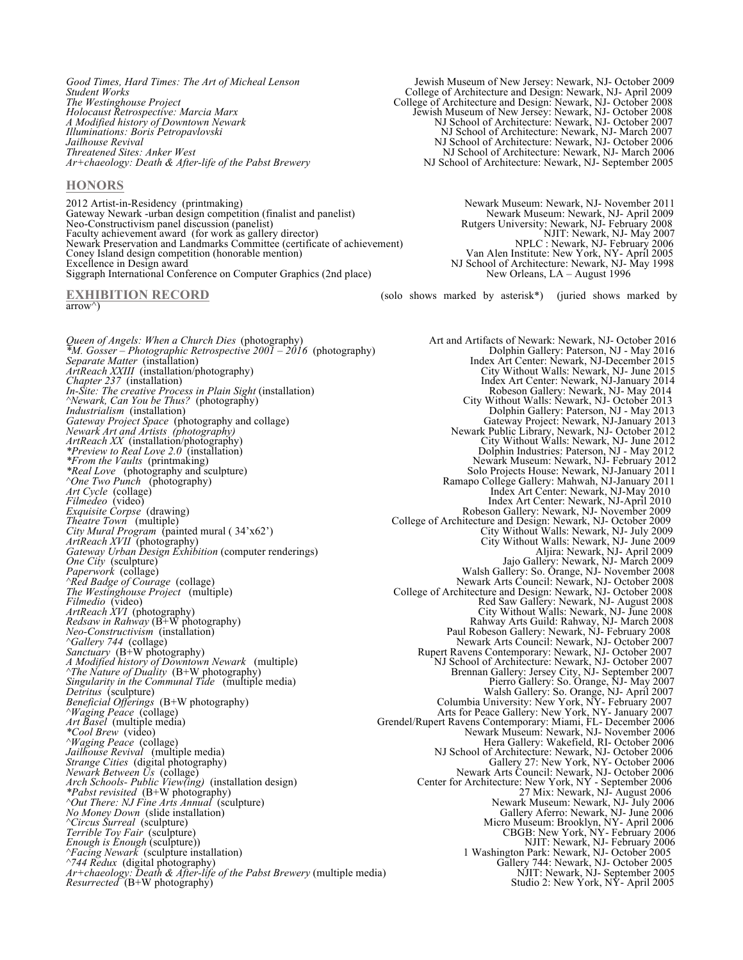*Threatened Sites: Anker West* NJ School of Architecture: Newark, NJ- March 2006<br>*Art-chaeology: Death & After-life of the Pabst Brewery* NJ School of Architecture: Newark, NJ- September 2005

### **HONORS**

2012 Artist-in-Residency (printmaking) Newark Museum: Newark, NJ- November 2011 Gateway Newark -urban design competition (finalist and panelist) Neo-Constructivism panel discussion (panelist) Neo-Constructivism panel discussion (panelist) Rutgers University: Newark, NJ- February 2008 Faculty achievement award (for work as gallery director) Newark Preservation and Landmarks Committee (certificate of achievement) Coney Island design competition (honorable mention)<br>Excellence in Design award Excellence in Design award NJ School of Architecture: Newark, NJ- May 1998 Siggraph International Conference on Computer Graphics (2nd place) New Orleans, LA – August 1996

 $arrow^{\wedge}$ )

Queen of Angels: When a Church Dies (photography) **Art and Artifacts of Newark: Newark, NJ- October 2016**<br>M. Gosser – Photographic Retrospective 2001 – 2016 (photography) **Art and Artifacts of Newark: Newark, NJ- October 2** *Separate Matter* (installation) **Index Art Center: Newark, NJ-December 2015**<br>*ArtReach XXIII* (installation/photography) **Index Art Center: Newark, NJ-June 2015** *ArtReach XXIII* (installation/photography) City Without Walls: Newark, NJ-June 2015<br>Chapter 237 (installation) Chapter 237 (installation) *In-Site: The creative Process in Plain Sight* (installation) Robeson Gallery: Newark, NJ- May 2014 *^Newark, Can You be Thus?* (photography) City Without Walls: Newark, NJ- October 2013 *Industrialism* (installation) **Dolphin Gallery: Paterson, NJ - May 2013** *Gateway Project Space* (photography and collage) *Gateway Project: Newark, NJ-January 2013 Newark Art and Artists (photography)* **Newark Public Library, Newark, NJ- October 2012** *ArtReach XX* (installation/photography) City Without Walls: Newark, NJ- June 2012 *ArtReach XX* (installation/photography) City Without Walls: Newark, NJ-June 2012<br> *\*Preview to Real Love 2.0* (installation) Dolphin Industries: Paterson, NJ - May 2012<br> *\*From the Vaults* (printmaking) Newark, NJ-Februar *\*From the Vaults* (printmaking)  $\blacksquare$  Newark Museum: Newark, NJ- February 2012 *\*Real Love* (photography and sculpture) **Solo Projects House: Newark, NJ-January 2011** Solo Projects House: Newark, NJ-January 2011 *^One Two Punch* (photography)Ramapo College Gallery: Mahwah, NJ-January 2011 *Art Cycle* (collage) Index Art Center: Newark, NJ-May 2010 *Filmedeo* (video) **Index Art Center: Newark, NJ-April 2010** Index Art Center: Newark, NJ-April 2010 *Exquisite Corpse* (drawing) Robeson Gallery: Newark, NJ- November 2009 *Exquisite Corpse* (drawing)<br> *Theatre Town* (multiple) College of Architecture and Design: Newark, NJ- November 2009<br> *City Mural Program* (painted mural (34'x62') College of Architecture and Design: Newark, NJ- October 2 *City Mural Program* (painted mural ( 34'x62') City Without Walls: Newark, NJ- July 2009 *ArtReach XVII* (photography) City Without Walls: Newark, NJ- June 2009 *Gateway Urban Design Exhibition* (computer renderings) Aljira: Newark, NJ- April 2009 *One City* (sculpture) Jajo Gallery: Newark, NJ- March 2009 *Gateway Urban Design Exhibition* (computer renderings)<br> *Paperwork* (collage)<br> *Paperwork* (collage)<br> *Paperwork* (collage)<br> *Paperwork* (collage)<br> *Paperwork* (collage)<br> *Paperwork (collage)*<br> *Paperwork (collage)*<br> *Pap ^Red Badge of Courage* (collage)  $\blacksquare$  Newark Arts Council: Newark, NJ- October 2008 *The Westinghouse Project* (multiple) College of Architecture and Design: Newark, NJ- October 2008 *Filmedio (video)* **Red Saw Gallery: Newark, NJ- August 2008 Red Saw Gallery: Newark, NJ- August 2008** *ArtReach XVI* (photography) City Without Walls: Newark, NJ- June 2008 *Redsaw in Rahway* (B+W photography) Rahway Arts Guild: Rahway, NJ- March 2008 *Neo-Constructivism* (installation) Paul Robeson Gallery: Newark, NJ- February 2008 *^Gallery 744* (collage)  $\blacksquare$  Newark Arts Council: Newark, NJ- October 2007 *Sanctuary* (B+W photography) **Rupert Ravens Contemporary: Newark, NJ- October 2007** Rupert Ravens Contemporary: Newark, NJ- October 2007 *A Modified history of Downtown Newark* (multiple) **NJ School of Architecture: Newark, NJ- October 2007** *^The Nature of Duality* (B+W photography)Brennan Gallery: Jersey City, NJ- September 2007 *Singularity in the Communal Tide* (multiple media) Pierro Gallery: So. Orange, NJ- May 2007 *Detritus* (sculpture) Walsh Gallery: So. Orange, NJ- April 2007 *Beneficial Offerings* (B+W photography) Columbia University: New York, NY- February 2007 *^Waging Peace* (collage) Arts for Peace Gallery: New York, NY- January 2007 *Art Basel* (multiple media)<br> *Art Basel* (multiple media) Grendel/Rupert Ravens Contemporary: Miami, FL- December 2007<br> *Art Basel* (multiple media) (*Art Basel* (collage) Arts for Peace Gallery: New York, NY- January 200 *Jailhouse Revival* (multiple media) NJ School of Architecture: Newark, NJ- October 2006 *Strange Cities* (digital photography) Strange Cities (digital photography) Gallery 27: New York, NY- October 2006 *Newark Between Us* (collage) Newark Arts Council: Newark Arts Council: Newark, NJ- October 2006 *Arch Schools- Public View(ing)* (installation design) Center for Architecture: New York, NY - September 2006 *\*Pabst revisited* (B+W photography)27 Mix: Newark, NJ- August 2006 *^Out There: NJ Fine Arts Annual* (sculpture) Newark Museum: Newark, NJ- July 2006 *No Money Down* (slide installation) **Callery Aferro: Newark, NJ- June 2006** Gallery Aferro: Newark, NJ- June 2006 *^Circus Surreal* (sculpture) Micro Museum: Brooklyn, NY- April 2006 *Terrible Toy Fair* (sculpture) CBGB: New York, NY- February 2006 *Enough is Enough* (sculpture))NJIT: Newark, NJ- February 2006 *^Facing Newark* (sculpture installation) 1 Washington Park: Newark, NJ- October 2005 *^744 Redux* (digital photography)Gallery 744: Newark, NJ- October 2005 *Arting Sterman Community Community*<br> *Arting Redux* (digital photography)<br> *Arting Death & After-life of the Pabst Brewery (multiple media)*<br> *Resurrected* (B+W photography) Studio 2: New York, NY- April 2005<br>
Studio 2: N

*Good Times, Hard Times: The Art of Micheal Lenson* Jewish Museum of New Jersey: Newark, NJ- October 2009 *Student Works* **College of Architecture and Design: Newark, NJ- April 2009**<br>The Westinghouse Project **College of Architecture and Design: Newark, NJ- October 2008** *The Westinghouse Project* **College of Architecture and Design: Newark, NJ- October 2008** *Holocaust Retrospective: Marcia Marx* Jewish Museum of New Jersey: Newark, NJ- October 2008 *A Modified history of Downtown Newark* NJ School of Architecture: Newark, NJ- October 2007 *Illuminations: Boris Petropavlovski* NJ School of Architecture: Newark, NJ- March 2007 *Jailhouse Revival* **Architecture: Newark, NJ- October 2006 NJ School of Architecture: Newark, NJ- October 2006** *Arth School of Architecture: Newark, NJ- September 2005* 

**EXHIBITION RECORD** (solo shows marked by asterisk\*) (juried shows marked by

Index Art Center: Newark, NJ-January 2014<br>Robeson Gallery: Newark, NJ- May 2014<br>City Without Walls: Newark, NJ- October 2013 Hera Gallery: Wakefield, RI- October 2006